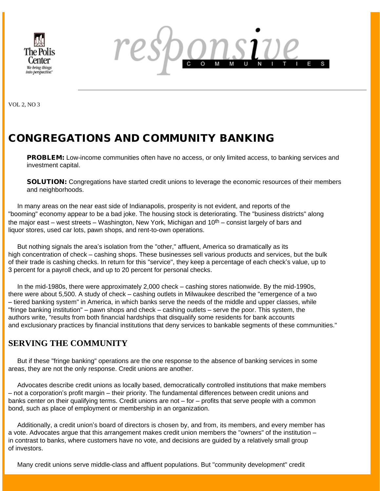



VOL 2, NO 3

# CONGREGATIONS AND COMMUNITY BANKING

**PROBLEM:** Low-income communities often have no access, or only limited access, to banking services and investment capital.

SOLUTION: Congregations have started credit unions to leverage the economic resources of their members and neighborhoods.

 In many areas on the near east side of Indianapolis, prosperity is not evident, and reports of the "booming" economy appear to be a bad joke. The housing stock is deteriorating. The "business districts" along the major east – west streets – Washington, New York, Michigan and  $10<sup>th</sup>$  – consist largely of bars and liquor stores, used car lots, pawn shops, and rent-to-own operations.

 But nothing signals the area's isolation from the "other," affluent, America so dramatically as its high concentration of check – cashing shops. These businesses sell various products and services, but the bulk of their trade is cashing checks. In return for this "service", they keep a percentage of each check's value, up to 3 percent for a payroll check, and up to 20 percent for personal checks.

 In the mid-1980s, there were approximately 2,000 check – cashing stores nationwide. By the mid-1990s, there were about 5,500. A study of check – cashing outlets in Milwaukee described the "emergence of a two – tiered banking system" in America, in which banks serve the needs of the middle and upper classes, while "fringe banking institution" – pawn shops and check – cashing outlets – serve the poor. This system, the authors write, "results from both financial hardships that disqualify some residents for bank accounts and exclusionary practices by financial institutions that deny services to bankable segments of these communities."

# **SERVING THE COMMUNITY**

 But if these "fringe banking" operations are the one response to the absence of banking services in some areas, they are not the only response. Credit unions are another.

 Advocates describe credit unions as locally based, democratically controlled institutions that make members – not a corporation's profit margin – their priority. The fundamental differences between credit unions and banks center on their qualifying terms. Credit unions are not – for – profits that serve people with a common bond, such as place of employment or membership in an organization.

 Additionally, a credit union's board of directors is chosen by, and from, its members, and every member has a vote. Advocates argue that this arrangement makes credit union members the "owners" of the institution – in contrast to banks, where customers have no vote, and decisions are guided by a relatively small group of investors.

Many credit unions serve middle-class and affluent populations. But "community development" credit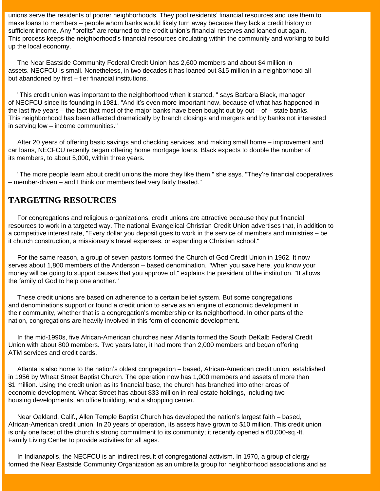unions serve the residents of poorer neighborhoods. They pool residents' financial resources and use them to make loans to members – people whom banks would likely turn away because they lack a credit history or sufficient income. Any "profits" are returned to the credit union's financial reserves and loaned out again. This process keeps the neighborhood's financial resources circulating within the community and working to build up the local economy.

 The Near Eastside Community Federal Credit Union has 2,600 members and about \$4 million in assets. NECFCU is small. Nonetheless, in two decades it has loaned out \$15 million in a neighborhood all but abandoned by first – tier financial institutions.

 "This credit union was important to the neighborhood when it started, " says Barbara Black, manager of NECFCU since its founding in 1981. "And it's even more important now, because of what has happened in the last five years – the fact that most of the major banks have been bought out by out – of – state banks. This neighborhood has been affected dramatically by branch closings and mergers and by banks not interested in serving low – income communities."

 After 20 years of offering basic savings and checking services, and making small home – improvement and car loans, NECFCU recently began offering home mortgage loans. Black expects to double the number of its members, to about 5,000, within three years.

 "The more people learn about credit unions the more they like them," she says. "They're financial cooperatives – member-driven – and I think our members feel very fairly treated."

## **TARGETING RESOURCES**

 For congregations and religious organizations, credit unions are attractive because they put financial resources to work in a targeted way. The national Evangelical Christian Credit Union advertises that, in addition to a competitive interest rate, "Every dollar you deposit goes to work in the service of members and ministries – be it church construction, a missionary's travel expenses, or expanding a Christian school."

 For the same reason, a group of seven pastors formed the Church of God Credit Union in 1962. It now serves about 1,800 members of the Anderson – based denomination. "When you save here, you know your money will be going to support causes that you approve of," explains the president of the institution. "It allows the family of God to help one another."

 These credit unions are based on adherence to a certain belief system. But some congregations and denominations support or found a credit union to serve as an engine of economic development in their community, whether that is a congregation's membership or its neighborhood. In other parts of the nation, congregations are heavily involved in this form of economic development.

 In the mid-1990s, five African-American churches near Atlanta formed the South DeKalb Federal Credit Union with about 800 members. Two years later, it had more than 2,000 members and began offering ATM services and credit cards.

 Atlanta is also home to the nation's oldest congregation – based, African-American credit union, established in 1956 by Wheat Street Baptist Church. The operation now has 1,000 members and assets of more than \$1 million. Using the credit union as its financial base, the church has branched into other areas of economic development. Wheat Street has about \$33 million in real estate holdings, including two housing developments, an office building, and a shopping center.

 Near Oakland, Calif., Allen Temple Baptist Church has developed the nation's largest faith – based, African-American credit union. In 20 years of operation, its assets have grown to \$10 million. This credit union is only one facet of the church's strong commitment to its community; it recently opened a 60,000-sq.-ft. Family Living Center to provide activities for all ages.

 In Indianapolis, the NECFCU is an indirect result of congregational activism. In 1970, a group of clergy formed the Near Eastside Community Organization as an umbrella group for neighborhood associations and as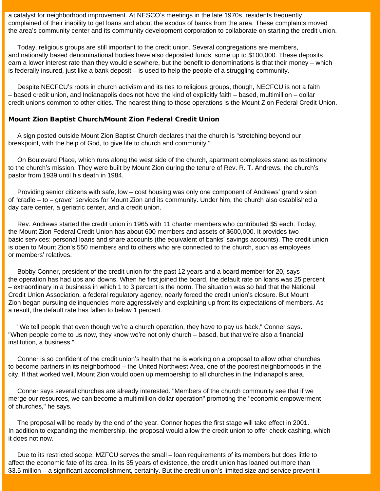a catalyst for neighborhood improvement. At NESCO's meetings in the late 1970s, residents frequently complained of their inability to get loans and about the exodus of banks from the area. These complaints moved the area's community center and its community development corporation to collaborate on starting the credit union.

 Today, religious groups are still important to the credit union. Several congregations are members, and nationally based denominational bodies have also deposited funds, some up to \$100,000. These deposits earn a lower interest rate than they would elsewhere, but the benefit to denominations is that their money – which is federally insured, just like a bank deposit – is used to help the people of a struggling community.

 Despite NECFCU's roots in church activism and its ties to religious groups, though, NECFCU is not a faith – based credit union, and Indianapolis does not have the kind of explicitly faith – based, multimillion – dollar credit unions common to other cities. The nearest thing to those operations is the Mount Zion Federal Credit Union.

### Mount Zion Baptist Church/Mount Zion Federal Credit Union

 A sign posted outside Mount Zion Baptist Church declares that the church is "stretching beyond our breakpoint, with the help of God, to give life to church and community."

 On Boulevard Place, which runs along the west side of the church, apartment complexes stand as testimony to the church's mission. They were built by Mount Zion during the tenure of Rev. R. T. Andrews, the church's pastor from 1939 until his death in 1984.

 Providing senior citizens with safe, low – cost housing was only one component of Andrews' grand vision of "cradle – to – grave" services for Mount Zion and its community. Under him, the church also established a day care center, a geriatric center, and a credit union.

 Rev. Andrews started the credit union in 1965 with 11 charter members who contributed \$5 each. Today, the Mount Zion Federal Credit Union has about 600 members and assets of \$600,000. It provides two basic services: personal loans and share accounts (the equivalent of banks' savings accounts). The credit union is open to Mount Zion's 550 members and to others who are connected to the church, such as employees or members' relatives.

 Bobby Conner, president of the credit union for the past 12 years and a board member for 20, says the operation has had ups and downs. When he first joined the board, the default rate on loans was 25 percent – extraordinary in a business in which 1 to 3 percent is the norm. The situation was so bad that the National Credit Union Association, a federal regulatory agency, nearly forced the credit union's closure. But Mount Zion began pursuing delinquencies more aggressively and explaining up front its expectations of members. As a result, the default rate has fallen to below 1 percent.

 "We tell people that even though we're a church operation, they have to pay us back," Conner says. "When people come to us now, they know we're not only church – based, but that we're also a financial institution, a business."

 Conner is so confident of the credit union's health that he is working on a proposal to allow other churches to become partners in its neighborhood – the United Northwest Area, one of the poorest neighborhoods in the city. If that worked well, Mount Zion would open up membership to all churches in the Indianapolis area.

 Conner says several churches are already interested. "Members of the church community see that if we merge our resources, we can become a multimillion-dollar operation" promoting the "economic empowerment of churches," he says.

 The proposal will be ready by the end of the year. Conner hopes the first stage will take effect in 2001. In addition to expanding the membership, the proposal would allow the credit union to offer check cashing, which it does not now.

 Due to its restricted scope, MZFCU serves the small – loan requirements of its members but does little to affect the economic fate of its area. In its 35 years of existence, the credit union has loaned out more than \$3.5 million – a significant accomplishment, certainly. But the credit union's limited size and service prevent it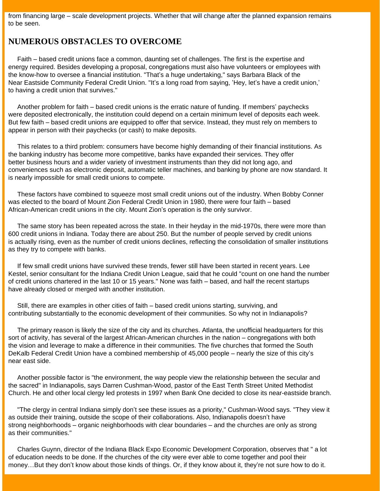from financing large – scale development projects. Whether that will change after the planned expansion remains to be seen.

### **NUMEROUS OBSTACLES TO OVERCOME**

 Faith – based credit unions face a common, daunting set of challenges. The first is the expertise and energy required. Besides developing a proposal, congregations must also have volunteers or employees with the know-how to oversee a financial institution. "That's a huge undertaking," says Barbara Black of the Near Eastside Community Federal Credit Union. "It's a long road from saying, 'Hey, let's have a credit union,' to having a credit union that survives."

 Another problem for faith – based credit unions is the erratic nature of funding. If members' paychecks were deposited electronically, the institution could depend on a certain minimum level of deposits each week. But few faith – based credit unions are equipped to offer that service. Instead, they must rely on members to appear in person with their paychecks (or cash) to make deposits.

 This relates to a third problem: consumers have become highly demanding of their financial institutions. As the banking industry has become more competitive, banks have expanded their services. They offer better business hours and a wider variety of investment instruments than they did not long ago, and conveniences such as electronic deposit, automatic teller machines, and banking by phone are now standard. It is nearly impossible for small credit unions to compete.

 These factors have combined to squeeze most small credit unions out of the industry. When Bobby Conner was elected to the board of Mount Zion Federal Credit Union in 1980, there were four faith – based African-American credit unions in the city. Mount Zion's operation is the only survivor.

 The same story has been repeated across the state. In their heyday in the mid-1970s, there were more than 600 credit unions in Indiana. Today there are about 250. But the number of people served by credit unions is actually rising, even as the number of credit unions declines, reflecting the consolidation of smaller institutions as they try to compete with banks.

 If few small credit unions have survived these trends, fewer still have been started in recent years. Lee Kestel, senior consultant for the Indiana Credit Union League, said that he could "count on one hand the number of credit unions chartered in the last 10 or 15 years." None was faith – based, and half the recent startups have already closed or merged with another institution.

 Still, there are examples in other cities of faith – based credit unions starting, surviving, and contributing substantially to the economic development of their communities. So why not in Indianapolis?

 The primary reason is likely the size of the city and its churches. Atlanta, the unofficial headquarters for this sort of activity, has several of the largest African-American churches in the nation – congregations with both the vision and leverage to make a difference in their communities. The five churches that formed the South DeKalb Federal Credit Union have a combined membership of 45,000 people – nearly the size of this city's near east side.

 Another possible factor is "the environment, the way people view the relationship between the secular and the sacred" in Indianapolis, says Darren Cushman-Wood, pastor of the East Tenth Street United Methodist Church. He and other local clergy led protests in 1997 when Bank One decided to close its near-eastside branch.

 "The clergy in central Indiana simply don't see these issues as a priority," Cushman-Wood says. "They view it as outside their training, outside the scope of their collaborations. Also, Indianapolis doesn't have strong neighborhoods – organic neighborhoods with clear boundaries – and the churches are only as strong as their communities."

 Charles Guynn, director of the Indiana Black Expo Economic Development Corporation, observes that " a lot of education needs to be done. If the churches of the city were ever able to come together and pool their money…But they don't know about those kinds of things. Or, if they know about it, they're not sure how to do it.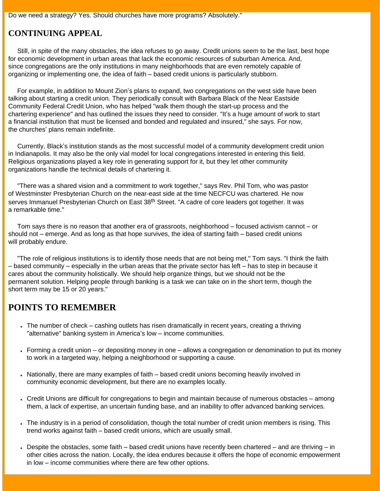Do we need a strategy? Yes. Should churches have more programs? Absolutely."

### **CONTINUING APPEAL**

 Still, in spite of the many obstacles, the idea refuses to go away. Credit unions seem to be the last, best hope for economic development in urban areas that lack the economic resources of suburban America. And, since congregations are the only institutions in many neighborhoods that are even remotely capable of organizing or implementing one, the idea of faith – based credit unions is particularly stubborn.

 For example, in addition to Mount Zion's plans to expand, two congregations on the west side have been talking about starting a credit union. They periodically consult with Barbara Black of the Near Eastside Community Federal Credit Union, who has helped "walk them though the start-up process and the chartering experience" and has outlined the issues they need to consider. "It's a huge amount of work to start a financial institution that must be licensed and bonded and regulated and insured," she says. For now, the churches' plans remain indefinite.

 Currently, Black's institution stands as the most successful model of a community development credit union in Indianapolis. It may also be the only vial model for local congregations interested in entering this field. Religious organizations played a key role in generating support for it, but they let other community organizations handle the technical details of chartering it.

 "There was a shared vision and a commitment to work together," says Rev. Phil Tom, who was pastor of Westminster Presbyterian Church on the near-east side at the time NECFCU was chartered. He now serves Immanuel Presbyterian Church on East 38<sup>th</sup> Street. "A cadre of core leaders got together. It was a remarkable time."

 Tom says there is no reason that another era of grassroots, neighborhood – focused activism cannot – or should not – emerge. And as long as that hope survives, the idea of starting faith – based credit unions will probably endure.

 "The role of religious institutions is to identify those needs that are not being met," Tom says. "I think the faith – based community – especially in the urban areas that the private sector has left – has to step in because it cares about the community holistically. We should help organize things, but we should not be the permanent solution. Helping people through banking is a task we can take on in the short term, though the short term may be 15 or 20 years."

# **POINTS TO REMEMBER**

- The number of check cashing outlets has risen dramatically in recent years, creating a thriving "alternative" banking system in America's low – income communities.
- Forming a credit union or depositing money in one allows a congregation or denomination to put its money to work in a targeted way, helping a neighborhood or supporting a cause.
- Nationally, there are many examples of faith based credit unions becoming heavily involved in community economic development, but there are no examples locally.
- Credit Unions are difficult for congregations to begin and maintain because of numerous obstacles among them, a lack of expertise, an uncertain funding base, and an inability to offer advanced banking services.
- The industry is in a period of consolidation, though the total number of credit union members is rising. This trend works against faith – based credit unions, which are usually small.
- $\bullet$  Despite the obstacles, some faith based credit unions have recently been chartered and are thriving in other cities across the nation. Locally, the idea endures because it offers the hope of economic empowerment in low – income communities where there are few other options.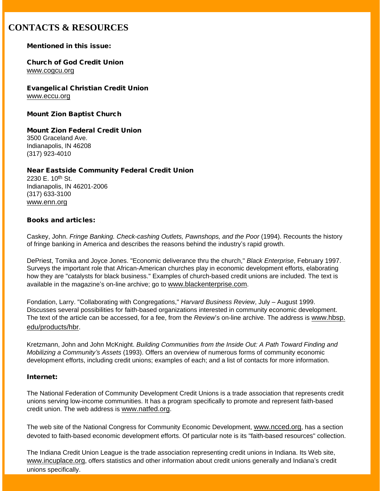# **CONTACTS & RESOURCES**

### Mentioned in this issue:

### Church of God Credit Union [www.cogcu.org](http://www.cogcu.org/)

Evangelical Christian Credit Union [www.eccu.org](http://www.eccu.org/)

Mount Zion Baptist Church

#### Mount Zion Federal Credit Union 3500 Graceland Ave. Indianapolis, IN 46208 (317) 923-4010

### Near Eastside Community Federal Credit Union

2230 E. 10th St. Indianapolis, IN 46201-2006 (317) 633-3100 [www.enn.org](http://www.enn.org/)

### Books and articles:

Caskey, John. *Fringe Banking. Check-cashing Outlets, Pawnshops, and the Poor* (1994). Recounts the history of fringe banking in America and describes the reasons behind the industry's rapid growth.

DePriest, Tomika and Joyce Jones. "Economic deliverance thru the church," *Black Enterprise*, February 1997. Surveys the important role that African-American churches play in economic development efforts, elaborating how they are "catalysts for black business." Examples of church-based credit unions are included. The text is available in the magazine's on-line archive; go to [www.blackenterprise.com](http://www.blackenterprise.com/).

Fondation, Larry. "Collaborating with Congregations," *Harvard Business Review*, July – August 1999. Discusses several possibilities for faith-based organizations interested in community economic development. The text of the article can be accessed, for a fee, from the *Review*'s on-line archive. The address is [www.hbsp.](http://www.hbsp.edu/products/hbr) [edu/products/hbr.](http://www.hbsp.edu/products/hbr)

Kretzmann, John and John McKnight. *Building Communities from the Inside Out: A Path Toward Finding and Mobilizing a Community's Assets* (1993). Offers an overview of numerous forms of community economic development efforts, including credit unions; examples of each; and a list of contacts for more information.

### Internet:

The National Federation of Community Development Credit Unions is a trade association that represents credit unions serving low-income communities. It has a program specifically to promote and represent faith-based credit union. The web address is [www.natfed.org.](http://www.natfed.org/)

The web site of the National Congress for Community Economic Development, [www.ncced.org,](http://www.ncced.org/) has a section devoted to faith-based economic development efforts. Of particular note is its "faith-based resources" collection.

The Indiana Credit Union League is the trade association representing credit unions in Indiana. Its Web site, [www.incuplace.org,](http://www.incuplace.org/) offers statistics and other information about credit unions generally and Indiana's credit unions specifically.